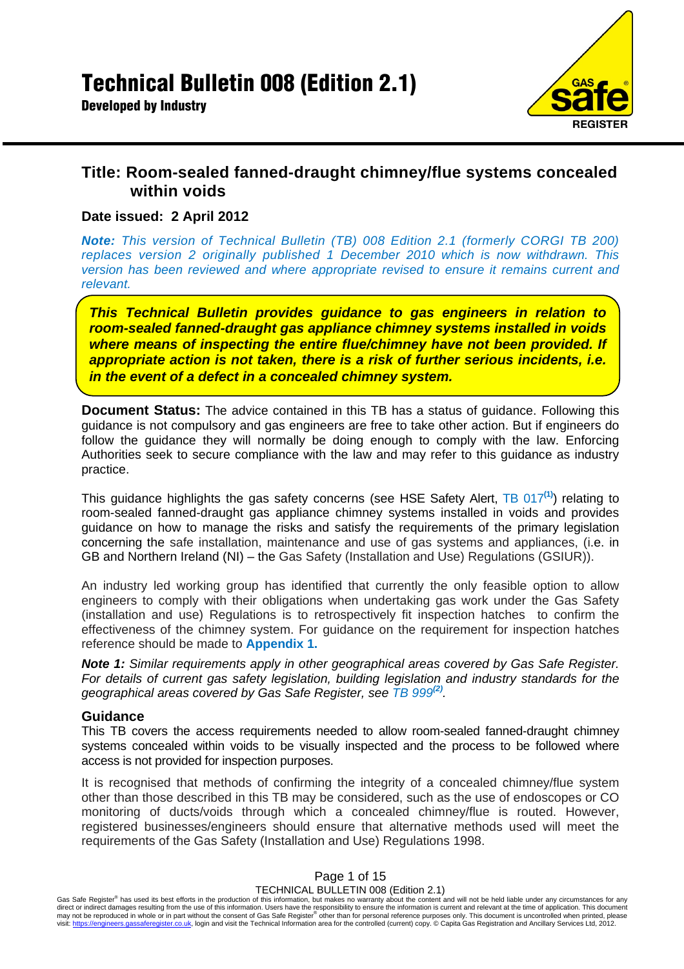

# **Developed by Industry**

# **Title: Room-sealed fanned-draught chimney/flue systems concealed within voids**

## **Date issued: 2 April 2012**

*Note: This version of Technical Bulletin (TB) 008 Edition 2.1 (formerly CORGI TB 200) replaces version 2 originally published 1 December 2010 which is now withdrawn. This version has been reviewed and where appropriate revised to ensure it remains current and relevant.* 

*in the event of a defect in a concealed chimney system. This Technical Bulletin provides guidance to gas engineers in relation to room-sealed fanned-draught gas appliance chimney systems installed in voids where means of inspecting the entire flue/chimney have not been provided. If appropriate action is not taken, there is a risk of further serious incidents, i.e.* 

**Document Status:** The advice contained in this TB has a status of guidance. Following this guidance is not compulsory and gas engineers are free to take other action. But if engineers do follow the guidance they will normally be doing enough to comply with the law. Enforcing Authorities seek to secure compliance with the law and may refer to this guidance as industry practice.

This guidance highlights the gas safety concerns (see HSE Safety Alert, TB 017**(1)**) relating to room-sealed fanned-draught gas appliance chimney systems installed in voids and provides guidance on how to manage the risks and satisfy the requirements of the primary legislation concerning the safe installation, maintenance and use of gas systems and appliances, (i.e. in GB and Northern Ireland (NI) – the Gas Safety (Installation and Use) Regulations (GSIUR)).

An industry led working group has identified that currently the only feasible option to allow engineers to comply with their obligations when undertaking gas work under the Gas Safety (installation and use) Regulations is to retrospectively fit inspection hatches to confirm the effectiveness of the chimney system. For guidance on the requirement for inspection hatches reference should be made to **Appendix 1.**

*Note 1: Similar requirements apply in other geographical areas covered by Gas Safe Register. For details of current gas safety legislation, building legislation and industry standards for the geographical areas covered by Gas Safe Register, see TB 999(2).* 

## **Guidance**

This TB covers the access requirements needed to allow room-sealed fanned-draught chimney systems concealed within voids to be visually inspected and the process to be followed where access is not provided for inspection purposes.

It is recognised that methods of confirming the integrity of a concealed chimney/flue system other than those described in this TB may be considered, such as the use of endoscopes or CO monitoring of ducts/voids through which a concealed chimney/flue is routed. However, registered businesses/engineers should ensure that alternative methods used will meet the requirements of the Gas Safety (Installation and Use) Regulations 1998.

# Page 1 of 15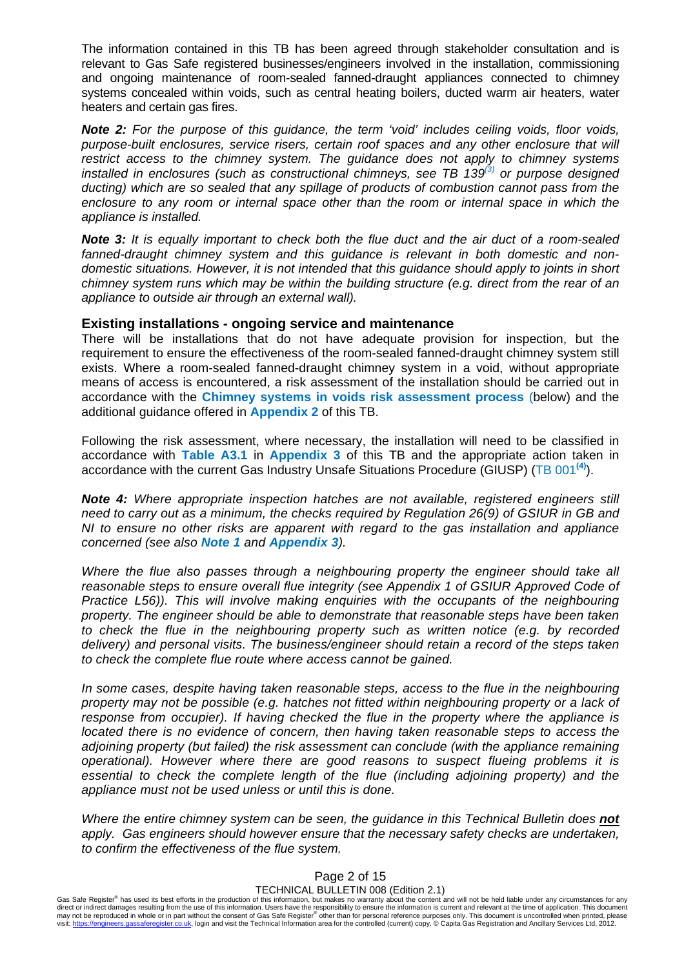The information contained in this TB has been agreed through stakeholder consultation and is relevant to Gas Safe registered businesses/engineers involved in the installation, commissioning and ongoing maintenance of room-sealed fanned-draught appliances connected to chimney systems concealed within voids, such as central heating boilers, ducted warm air heaters, water heaters and certain gas fires.

*Note 2: For the purpose of this guidance, the term 'void' includes ceiling voids, floor voids, purpose-built enclosures, service risers, certain roof spaces and any other enclosure that will restrict access to the chimney system. The guidance does not apply to chimney systems installed in enclosures (such as constructional chimneys, see TB 139(3) or purpose designed ducting) which are so sealed that any spillage of products of combustion cannot pass from the enclosure to any room or internal space other than the room or internal space in which the appliance is installed.* 

*Note 3: It is equally important to check both the flue duct and the air duct of a room-sealed fanned-draught chimney system and this guidance is relevant in both domestic and nondomestic situations. However, it is not intended that this guidance should apply to joints in short chimney system runs which may be within the building structure (e.g. direct from the rear of an appliance to outside air through an external wall).* 

#### **Existing installations - ongoing service and maintenance**

There will be installations that do not have adequate provision for inspection, but the requirement to ensure the effectiveness of the room-sealed fanned-draught chimney system still exists. Where a room-sealed fanned-draught chimney system in a void, without appropriate means of access is encountered, a risk assessment of the installation should be carried out in accordance with the **Chimney systems in voids risk assessment process** (below) and the additional guidance offered in **Appendix 2** of this TB.

Following the risk assessment, where necessary, the installation will need to be classified in accordance with **Table A3.1** in **Appendix 3** of this TB and the appropriate action taken in accordance with the current Gas Industry Unsafe Situations Procedure (GIUSP) (TB 001**(4)**).

*Note 4: Where appropriate inspection hatches are not available, registered engineers still need to carry out as a minimum, the checks required by Regulation 26(9) of GSIUR in GB and NI to ensure no other risks are apparent with regard to the gas installation and appliance concerned (see also Note 1 and Appendix 3).* 

*Where the flue also passes through a neighbouring property the engineer should take all reasonable steps to ensure overall flue integrity (see Appendix 1 of GSIUR Approved Code of Practice L56)). This will involve making enquiries with the occupants of the neighbouring property. The engineer should be able to demonstrate that reasonable steps have been taken to check the flue in the neighbouring property such as written notice (e.g. by recorded delivery) and personal visits. The business/engineer should retain a record of the steps taken to check the complete flue route where access cannot be gained.* 

*In some cases, despite having taken reasonable steps, access to the flue in the neighbouring property may not be possible (e.g. hatches not fitted within neighbouring property or a lack of response from occupier). If having checked the flue in the property where the appliance is located there is no evidence of concern, then having taken reasonable steps to access the adjoining property (but failed) the risk assessment can conclude (with the appliance remaining operational). However where there are good reasons to suspect flueing problems it is essential to check the complete length of the flue (including adjoining property) and the appliance must not be used unless or until this is done.* 

*Where the entire chimney system can be seen, the guidance in this Technical Bulletin does not apply. Gas engineers should however ensure that the necessary safety checks are undertaken, to confirm the effectiveness of the flue system.* 

#### Page 2 of 15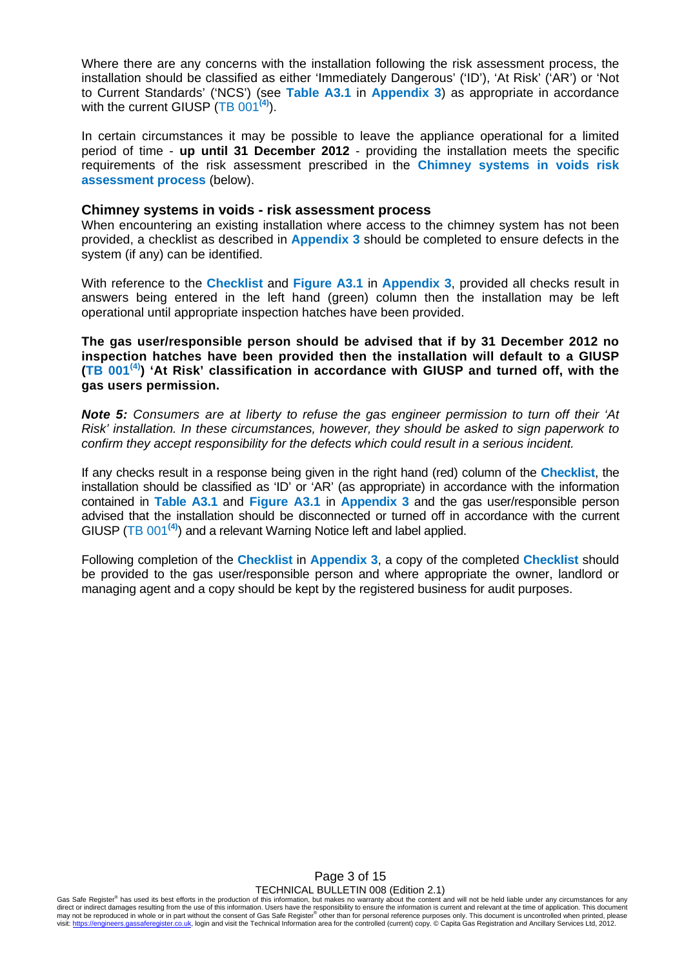Where there are any concerns with the installation following the risk assessment process, the installation should be classified as either 'Immediately Dangerous' ('ID'), 'At Risk' ('AR') or 'Not to Current Standards' ('NCS') (see **Table A3.1** in **Appendix 3**) as appropriate in accordance with the current GIUSP (TB 001<sup>(4)</sup>).

In certain circumstances it may be possible to leave the appliance operational for a limited period of time - **up until 31 December 2012** - providing the installation meets the specific requirements of the risk assessment prescribed in the **Chimney systems in voids risk assessment process** (below).

#### **Chimney systems in voids - risk assessment process**

When encountering an existing installation where access to the chimney system has not been provided, a checklist as described in **Appendix 3** should be completed to ensure defects in the system (if any) can be identified.

With reference to the **Checklist** and **Figure A3.1** in **Appendix 3**, provided all checks result in answers being entered in the left hand (green) column then the installation may be left operational until appropriate inspection hatches have been provided.

**The gas user/responsible person should be advised that if by 31 December 2012 no inspection hatches have been provided then the installation will default to a GIUSP (TB 001(4)) 'At Risk' classification in accordance with GIUSP and turned off, with the gas users permission.** 

*Note 5: Consumers are at liberty to refuse the gas engineer permission to turn off their 'At Risk' installation. In these circumstances, however, they should be asked to sign paperwork to confirm they accept responsibility for the defects which could result in a serious incident.*

If any checks result in a response being given in the right hand (red) column of the **Checklist**, the installation should be classified as 'ID' or 'AR' (as appropriate) in accordance with the information contained in **Table A3.1** and **Figure A3.1** in **Appendix 3** and the gas user/responsible person advised that the installation should be disconnected or turned off in accordance with the current GIUSP (TB 001**(4)**) and a relevant Warning Notice left and label applied.

Following completion of the **Checklist** in **Appendix 3**, a copy of the completed **Checklist** should be provided to the gas user/responsible person and where appropriate the owner, landlord or managing agent and a copy should be kept by the registered business for audit purposes.

#### Page 3 of 15 TECHNICAL BULLETIN 008 (Edition 2.1)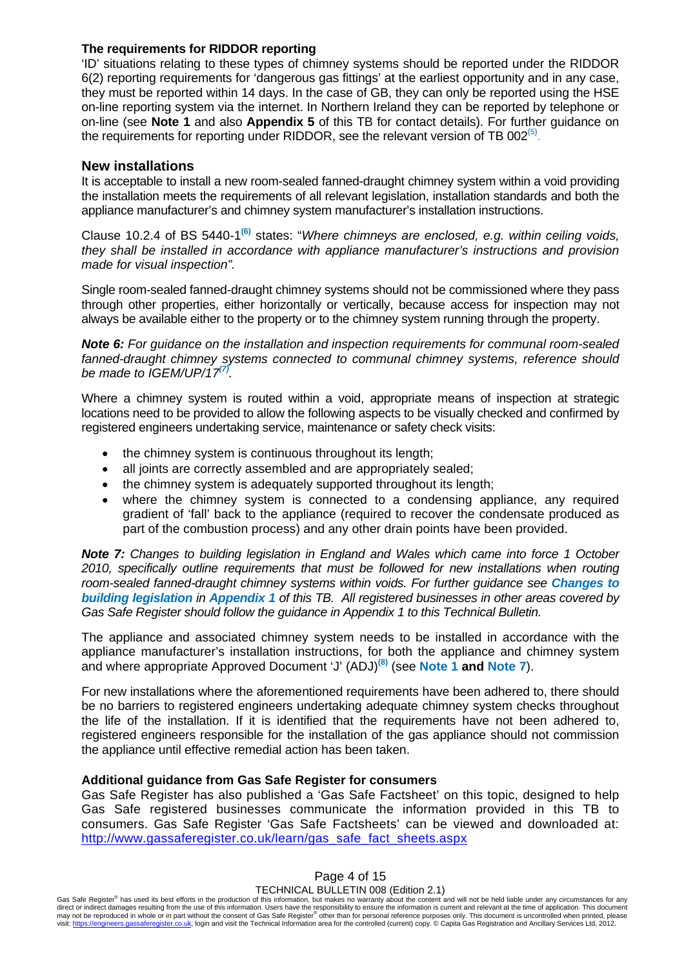## **The requirements for RIDDOR reporting**

'ID' situations relating to these types of chimney systems should be reported under the RIDDOR 6(2) reporting requirements for 'dangerous gas fittings' at the earliest opportunity and in any case, they must be reported within 14 days. In the case of GB, they can only be reported using the HSE on-line reporting system via the internet. In Northern Ireland they can be reported by telephone or on-line (see **Note 1** and also **Appendix 5** of this TB for contact details). For further guidance on the requirements for reporting under RIDDOR, see the relevant version of TB 002**(5)**.

## **New installations**

It is acceptable to install a new room-sealed fanned-draught chimney system within a void providing the installation meets the requirements of all relevant legislation, installation standards and both the appliance manufacturer's and chimney system manufacturer's installation instructions.

Clause 10.2.4 of BS 5440-1**(6)** states: "*Where chimneys are enclosed, e.g. within ceiling voids, they shall be installed in accordance with appliance manufacturer's instructions and provision made for visual inspection".* 

Single room-sealed fanned-draught chimney systems should not be commissioned where they pass through other properties, either horizontally or vertically, because access for inspection may not always be available either to the property or to the chimney system running through the property.

*Note 6: For guidance on the installation and inspection requirements for communal room-sealed fanned-draught chimney systems connected to communal chimney systems, reference should be made to IGEM/UP/17(7).* 

Where a chimney system is routed within a void, appropriate means of inspection at strategic locations need to be provided to allow the following aspects to be visually checked and confirmed by registered engineers undertaking service, maintenance or safety check visits:

- the chimney system is continuous throughout its length;
- all joints are correctly assembled and are appropriately sealed;
- the chimney system is adequately supported throughout its length;
- where the chimney system is connected to a condensing appliance, any required gradient of 'fall' back to the appliance (required to recover the condensate produced as part of the combustion process) and any other drain points have been provided.

*Note 7: Changes to building legislation in England and Wales which came into force 1 October 2010, specifically outline requirements that must be followed for new installations when routing room-sealed fanned-draught chimney systems within voids. For further guidance see Changes to building legislation in Appendix 1 of this TB. All registered businesses in other areas covered by Gas Safe Register should follow the guidance in Appendix 1 to this Technical Bulletin.* 

The appliance and associated chimney system needs to be installed in accordance with the appliance manufacturer's installation instructions, for both the appliance and chimney system and where appropriate Approved Document 'J' (ADJ)**(8)** (see **Note 1 and Note 7**).

For new installations where the aforementioned requirements have been adhered to, there should be no barriers to registered engineers undertaking adequate chimney system checks throughout the life of the installation. If it is identified that the requirements have not been adhered to, registered engineers responsible for the installation of the gas appliance should not commission the appliance until effective remedial action has been taken.

## **Additional guidance from Gas Safe Register for consumers**

Gas Safe Register has also published a 'Gas Safe Factsheet' on this topic, designed to help Gas Safe registered businesses communicate the information provided in this TB to consumers. Gas Safe Register 'Gas Safe Factsheets' can be viewed and downloaded at: http://www.gassaferegister.co.uk/learn/gas\_safe\_fact\_sheets.aspx

#### Page 4 of 15 TECHNICAL BULLETIN 008 (Edition 2.1)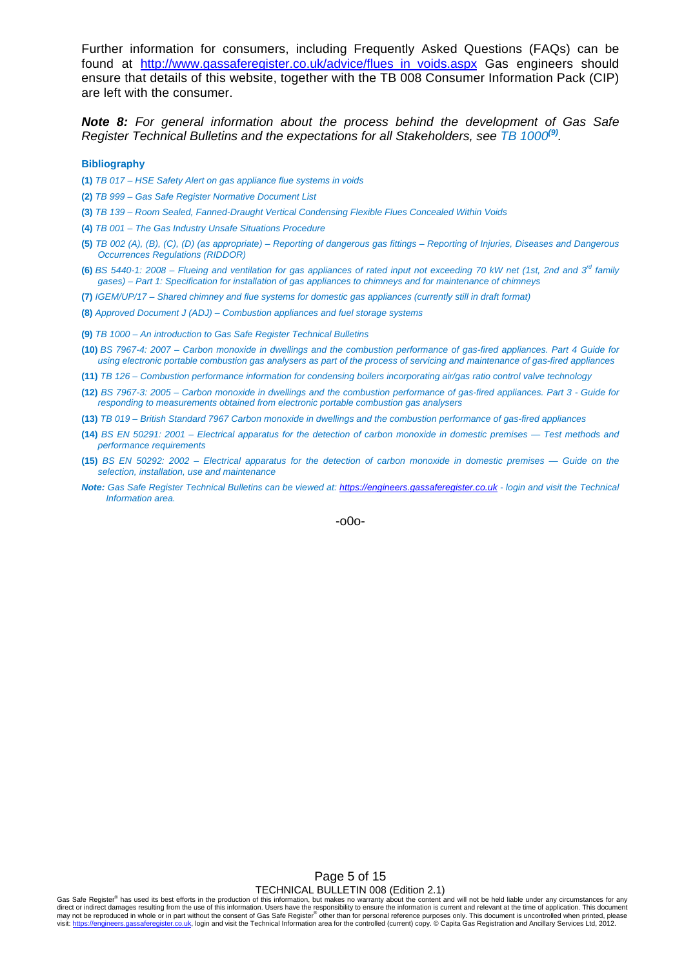Further information for consumers, including Frequently Asked Questions (FAQs) can be found at http://www.gassaferegister.co.uk/advice/flues in voids.aspx Gas engineers should ensure that details of this website, together with the TB 008 Consumer Information Pack (CIP) are left with the consumer.

*Note 8: For general information about the process behind the development of Gas Safe Register Technical Bulletins and the expectations for all Stakeholders, see TB 1000(9).*

#### **Bibliography**

- **(1)** *TB 017 HSE Safety Alert on gas appliance flue systems in voids*
- **(2)** *TB 999 Gas Safe Register Normative Document List*
- **(3)** *TB 139 Room Sealed, Fanned-Draught Vertical Condensing Flexible Flues Concealed Within Voids*
- **(4)** *TB 001 The Gas Industry Unsafe Situations Procedure*
- **(5)** *TB 002 (A), (B), (C), (D) (as appropriate) Reporting of dangerous gas fittings Reporting of Injuries, Diseases and Dangerous Occurrences Regulations (RIDDOR)*
- **(6)** *BS 5440-1: 2008 Flueing and ventilation for gas appliances of rated input not exceeding 70 kW net (1st, 2nd and 3rd family gases) – Part 1: Specification for installation of gas appliances to chimneys and for maintenance of chimneys*
- **(7)** *IGEM/UP/17 Shared chimney and flue systems for domestic gas appliances (currently still in draft format)*
- **(8)** *Approved Document J (ADJ) Combustion appliances and fuel storage systems*
- **(9)** *TB 1000 An introduction to Gas Safe Register Technical Bulletins*
- **(10)** *BS 7967-4: 2007 Carbon monoxide in dwellings and the combustion performance of gas-fired appliances. Part 4 Guide for using electronic portable combustion gas analysers as part of the process of servicing and maintenance of gas-fired appliances*
- **(11)** *TB 126 Combustion performance information for condensing boilers incorporating air/gas ratio control valve technology*
- **(12)** *BS 7967-3: 2005 Carbon monoxide in dwellings and the combustion performance of gas-fired appliances. Part 3 Guide for responding to measurements obtained from electronic portable combustion gas analysers*
- **(13)** *TB 019 British Standard 7967 Carbon monoxide in dwellings and the combustion performance of gas-fired appliances*
- **(14)** *BS EN 50291: 2001 Electrical apparatus for the detection of carbon monoxide in domestic premises Test methods and performance requirements*
- **(15)** *BS EN 50292: 2002 Electrical apparatus for the detection of carbon monoxide in domestic premises Guide on the selection, installation, use and maintenance*
- *Note: Gas Safe Register Technical Bulletins can be viewed at: https://engineers.gassaferegister.co.uk login and visit the Technical Information area.*

-o0o-

#### Page 5 of 15 TECHNICAL BULLETIN 008 (Edition 2.1)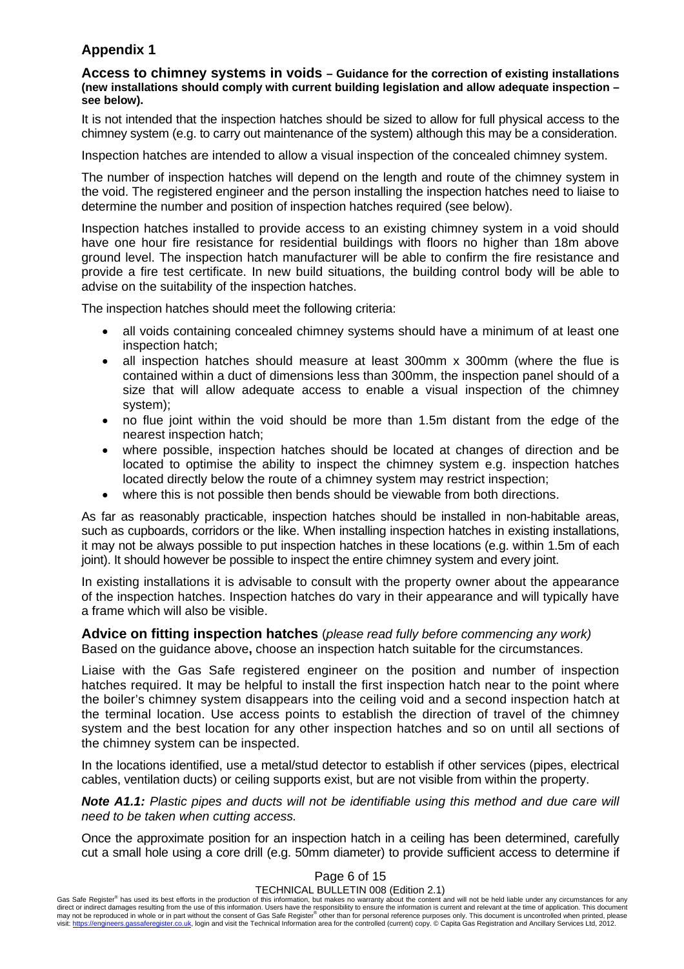**Access to chimney systems in voids – Guidance for the correction of existing installations (new installations should comply with current building legislation and allow adequate inspection – see below).** 

It is not intended that the inspection hatches should be sized to allow for full physical access to the chimney system (e.g. to carry out maintenance of the system) although this may be a consideration.

Inspection hatches are intended to allow a visual inspection of the concealed chimney system.

The number of inspection hatches will depend on the length and route of the chimney system in the void. The registered engineer and the person installing the inspection hatches need to liaise to determine the number and position of inspection hatches required (see below).

Inspection hatches installed to provide access to an existing chimney system in a void should have one hour fire resistance for residential buildings with floors no higher than 18m above ground level. The inspection hatch manufacturer will be able to confirm the fire resistance and provide a fire test certificate. In new build situations, the building control body will be able to advise on the suitability of the inspection hatches.

The inspection hatches should meet the following criteria:

- all voids containing concealed chimney systems should have a minimum of at least one inspection hatch;
- all inspection hatches should measure at least 300mm x 300mm (where the flue is contained within a duct of dimensions less than 300mm, the inspection panel should of a size that will allow adequate access to enable a visual inspection of the chimney system);
- no flue joint within the void should be more than 1.5m distant from the edge of the nearest inspection hatch;
- where possible, inspection hatches should be located at changes of direction and be located to optimise the ability to inspect the chimney system e.g. inspection hatches located directly below the route of a chimney system may restrict inspection;
- where this is not possible then bends should be viewable from both directions.

As far as reasonably practicable, inspection hatches should be installed in non-habitable areas, such as cupboards, corridors or the like. When installing inspection hatches in existing installations, it may not be always possible to put inspection hatches in these locations (e.g. within 1.5m of each joint). It should however be possible to inspect the entire chimney system and every joint.

In existing installations it is advisable to consult with the property owner about the appearance of the inspection hatches. Inspection hatches do vary in their appearance and will typically have a frame which will also be visible.

**Advice on fitting inspection hatches** (*please read fully before commencing any work)* Based on the guidance above**,** choose an inspection hatch suitable for the circumstances.

Liaise with the Gas Safe registered engineer on the position and number of inspection hatches required. It may be helpful to install the first inspection hatch near to the point where the boiler's chimney system disappears into the ceiling void and a second inspection hatch at the terminal location. Use access points to establish the direction of travel of the chimney system and the best location for any other inspection hatches and so on until all sections of the chimney system can be inspected.

In the locations identified, use a metal/stud detector to establish if other services (pipes, electrical cables, ventilation ducts) or ceiling supports exist, but are not visible from within the property.

*Note A1.1: Plastic pipes and ducts will not be identifiable using this method and due care will need to be taken when cutting access.* 

Once the approximate position for an inspection hatch in a ceiling has been determined, carefully cut a small hole using a core drill (e.g. 50mm diameter) to provide sufficient access to determine if

#### Page 6 of 15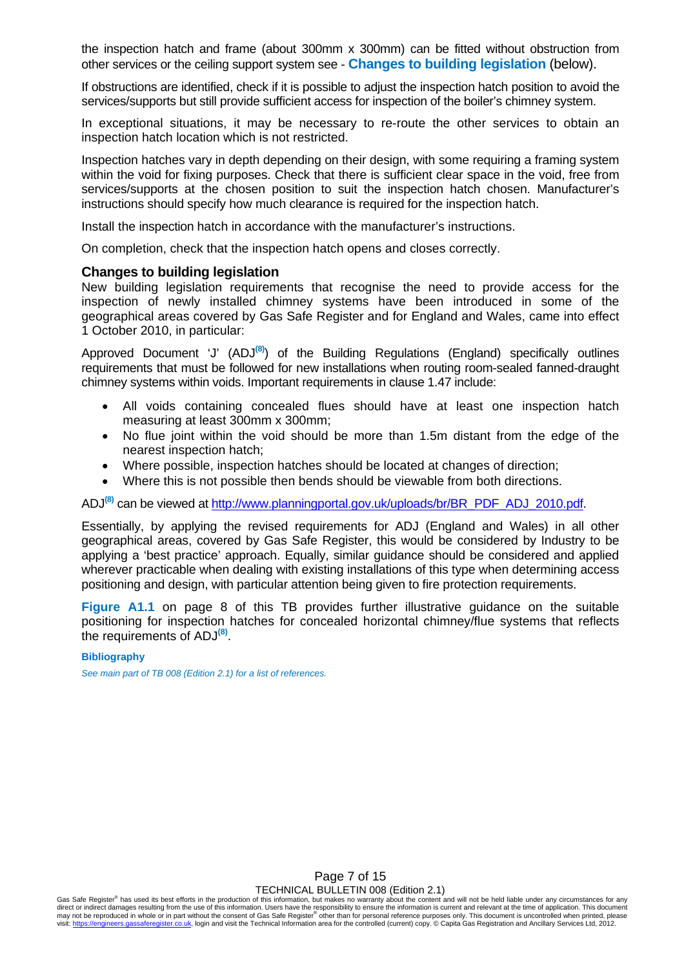the inspection hatch and frame (about 300mm x 300mm) can be fitted without obstruction from other services or the ceiling support system see - **Changes to building legislation** (below).

If obstructions are identified, check if it is possible to adjust the inspection hatch position to avoid the services/supports but still provide sufficient access for inspection of the boiler's chimney system.

In exceptional situations, it may be necessary to re-route the other services to obtain an inspection hatch location which is not restricted.

Inspection hatches vary in depth depending on their design, with some requiring a framing system within the void for fixing purposes. Check that there is sufficient clear space in the void, free from services/supports at the chosen position to suit the inspection hatch chosen. Manufacturer's instructions should specify how much clearance is required for the inspection hatch.

Install the inspection hatch in accordance with the manufacturer's instructions.

On completion, check that the inspection hatch opens and closes correctly.

### **Changes to building legislation**

New building legislation requirements that recognise the need to provide access for the inspection of newly installed chimney systems have been introduced in some of the geographical areas covered by Gas Safe Register and for England and Wales, came into effect 1 October 2010, in particular:

Approved Document 'J' (ADJ**(8)**) of the Building Regulations (England) specifically outlines requirements that must be followed for new installations when routing room-sealed fanned-draught chimney systems within voids. Important requirements in clause 1.47 include:

- All voids containing concealed flues should have at least one inspection hatch measuring at least 300mm x 300mm;
- No flue joint within the void should be more than 1.5m distant from the edge of the nearest inspection hatch;
- Where possible, inspection hatches should be located at changes of direction;
- Where this is not possible then bends should be viewable from both directions.

ADJ**(8)** can be viewed at http://www.planningportal.gov.uk/uploads/br/BR\_PDF\_ADJ\_2010.pdf.

Essentially, by applying the revised requirements for ADJ (England and Wales) in all other geographical areas, covered by Gas Safe Register, this would be considered by Industry to be applying a 'best practice' approach. Equally, similar guidance should be considered and applied wherever practicable when dealing with existing installations of this type when determining access positioning and design, with particular attention being given to fire protection requirements.

**Figure A1.1** on page 8 of this TB provides further illustrative guidance on the suitable positioning for inspection hatches for concealed horizontal chimney/flue systems that reflects the requirements of ADJ**(8)**.

#### **Bibliography**

*See main part of TB 008 (Edition 2.1) for a list of references.*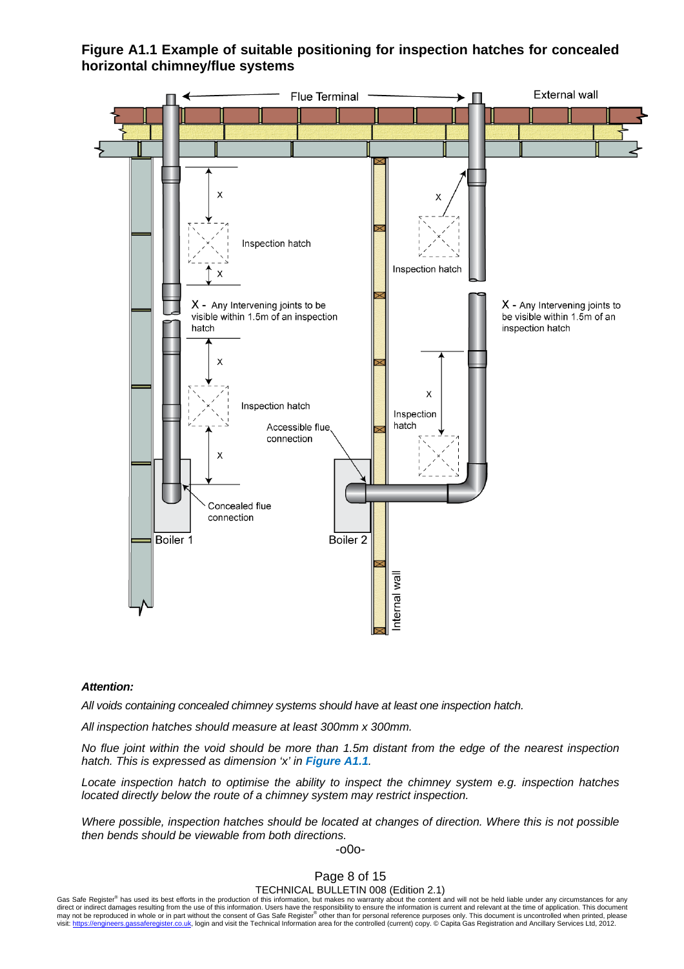**Figure A1.1 Example of suitable positioning for inspection hatches for concealed horizontal chimney/flue systems** 



#### *Attention:*

*All voids containing concealed chimney systems should have at least one inspection hatch.* 

*All inspection hatches should measure at least 300mm x 300mm.* 

*No flue joint within the void should be more than 1.5m distant from the edge of the nearest inspection hatch. This is expressed as dimension 'x' in <i>Figure A1.1*.

*Locate inspection hatch to optimise the ability to inspect the chimney system e.g. inspection hatches located directly below the route of a chimney system may restrict inspection.* 

*Where possible, inspection hatches should be located at changes of direction. Where this is not possible then bends should be viewable from both directions.* 

-o0o-

## Page 8 of 15

TECHNICAL BULLETIN 008 (Edition 2.1)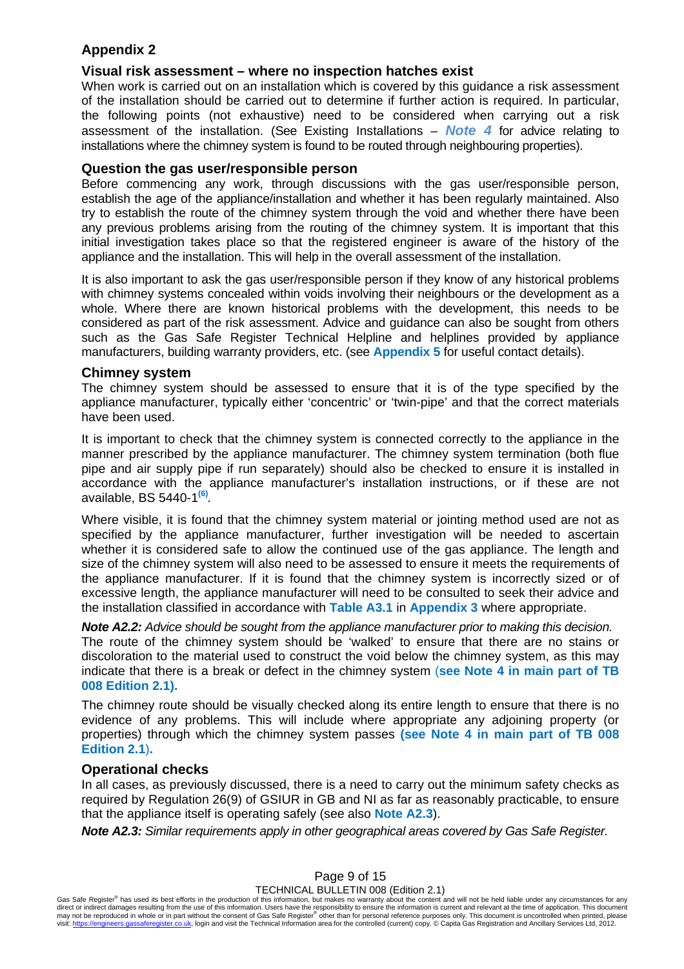## **Visual risk assessment – where no inspection hatches exist**

When work is carried out on an installation which is covered by this guidance a risk assessment of the installation should be carried out to determine if further action is required. In particular, the following points (not exhaustive) need to be considered when carrying out a risk assessment of the installation. (See Existing Installations – *Note 4* for advice relating to installations where the chimney system is found to be routed through neighbouring properties).

## **Question the gas user/responsible person**

Before commencing any work, through discussions with the gas user/responsible person, establish the age of the appliance/installation and whether it has been regularly maintained. Also try to establish the route of the chimney system through the void and whether there have been any previous problems arising from the routing of the chimney system. It is important that this initial investigation takes place so that the registered engineer is aware of the history of the appliance and the installation. This will help in the overall assessment of the installation.

It is also important to ask the gas user/responsible person if they know of any historical problems with chimney systems concealed within voids involving their neighbours or the development as a whole. Where there are known historical problems with the development, this needs to be considered as part of the risk assessment. Advice and guidance can also be sought from others such as the Gas Safe Register Technical Helpline and helplines provided by appliance manufacturers, building warranty providers, etc. (see **Appendix 5** for useful contact details).

## **Chimney system**

The chimney system should be assessed to ensure that it is of the type specified by the appliance manufacturer, typically either 'concentric' or 'twin-pipe' and that the correct materials have been used.

It is important to check that the chimney system is connected correctly to the appliance in the manner prescribed by the appliance manufacturer. The chimney system termination (both flue pipe and air supply pipe if run separately) should also be checked to ensure it is installed in accordance with the appliance manufacturer's installation instructions, or if these are not available, BS 5440-1**(6)***.*

Where visible, it is found that the chimney system material or jointing method used are not as specified by the appliance manufacturer, further investigation will be needed to ascertain whether it is considered safe to allow the continued use of the gas appliance. The length and size of the chimney system will also need to be assessed to ensure it meets the requirements of the appliance manufacturer. If it is found that the chimney system is incorrectly sized or of excessive length, the appliance manufacturer will need to be consulted to seek their advice and the installation classified in accordance with **Table A3.1** in **Appendix 3** where appropriate.

*Note A2.2: Advice should be sought from the appliance manufacturer prior to making this decision.* The route of the chimney system should be 'walked' to ensure that there are no stains or discoloration to the material used to construct the void below the chimney system, as this may indicate that there is a break or defect in the chimney system (**see Note 4 in main part of TB 008 Edition 2.1).**

The chimney route should be visually checked along its entire length to ensure that there is no evidence of any problems. This will include where appropriate any adjoining property (or properties) through which the chimney system passes **(see Note 4 in main part of TB 008 Edition 2.1**)**.** 

## **Operational checks**

In all cases, as previously discussed, there is a need to carry out the minimum safety checks as required by Regulation 26(9) of GSIUR in GB and NI as far as reasonably practicable, to ensure that the appliance itself is operating safely (see also **Note A2.3**).

*Note A2.3: Similar requirements apply in other geographical areas covered by Gas Safe Register.*

## Page 9 of 15

TECHNICAL BULLETIN 008 (Edition 2.1)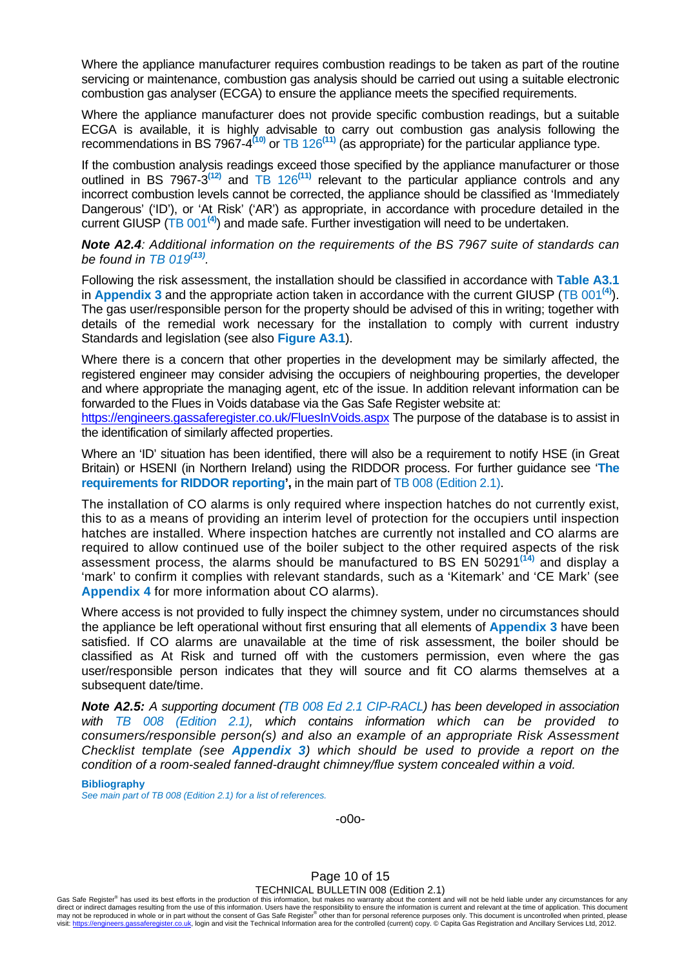Where the appliance manufacturer requires combustion readings to be taken as part of the routine servicing or maintenance, combustion gas analysis should be carried out using a suitable electronic combustion gas analyser (ECGA) to ensure the appliance meets the specified requirements.

Where the appliance manufacturer does not provide specific combustion readings, but a suitable ECGA is available, it is highly advisable to carry out combustion gas analysis following the recommendations in BS 7967-4**(10)** or TB 126**(11)** (as appropriate) for the particular appliance type.

If the combustion analysis readings exceed those specified by the appliance manufacturer or those outlined in BS 7967-3**(12)** and TB 126**(11)** relevant to the particular appliance controls and any incorrect combustion levels cannot be corrected, the appliance should be classified as 'Immediately Dangerous' ('ID'), or 'At Risk' ('AR') as appropriate, in accordance with procedure detailed in the current GIUSP (TB 001**(4)**) and made safe. Further investigation will need to be undertaken.

*Note A2.4: Additional information on the requirements of the BS 7967 suite of standards can be found in TB 019(13).*

Following the risk assessment, the installation should be classified in accordance with **Table A3.1**  in **Appendix 3** and the appropriate action taken in accordance with the current GIUSP (TB 001**(4)**). The gas user/responsible person for the property should be advised of this in writing; together with details of the remedial work necessary for the installation to comply with current industry Standards and legislation (see also **Figure A3.1**).

Where there is a concern that other properties in the development may be similarly affected, the registered engineer may consider advising the occupiers of neighbouring properties, the developer and where appropriate the managing agent, etc of the issue. In addition relevant information can be forwarded to the Flues in Voids database via the Gas Safe Register website at:

https://engineers.gassaferegister.co.uk/FluesInVoids.aspx The purpose of the database is to assist in the identification of similarly affected properties.

Where an 'ID' situation has been identified, there will also be a requirement to notify HSE (in Great Britain) or HSENI (in Northern Ireland) using the RIDDOR process. For further guidance see '**The requirements for RIDDOR reporting',** in the main part of TB 008 (Edition 2.1).

The installation of CO alarms is only required where inspection hatches do not currently exist, this to as a means of providing an interim level of protection for the occupiers until inspection hatches are installed. Where inspection hatches are currently not installed and CO alarms are required to allow continued use of the boiler subject to the other required aspects of the risk assessment process, the alarms should be manufactured to BS EN 50291**(14)** and display a 'mark' to confirm it complies with relevant standards, such as a 'Kitemark' and 'CE Mark' (see **Appendix 4** for more information about CO alarms).

Where access is not provided to fully inspect the chimney system, under no circumstances should the appliance be left operational without first ensuring that all elements of **Appendix 3** have been satisfied. If CO alarms are unavailable at the time of risk assessment, the boiler should be classified as At Risk and turned off with the customers permission, even where the gas user/responsible person indicates that they will source and fit CO alarms themselves at a subsequent date/time.

*Note A2.5: A supporting document (TB 008 Ed 2.1 CIP-RACL) has been developed in association with TB 008 (Edition 2.1), which contains information which can be provided to consumers/responsible person(s) and also an example of an appropriate Risk Assessment Checklist template (see Appendix 3) which should be used to provide a report on the condition of a room-sealed fanned-draught chimney/flue system concealed within a void.* 

**Bibliography** 

*See main part of TB 008 (Edition 2.1) for a list of references.* 

-o0o-

#### Page 10 of 15 TECHNICAL BULLETIN 008 (Edition 2.1)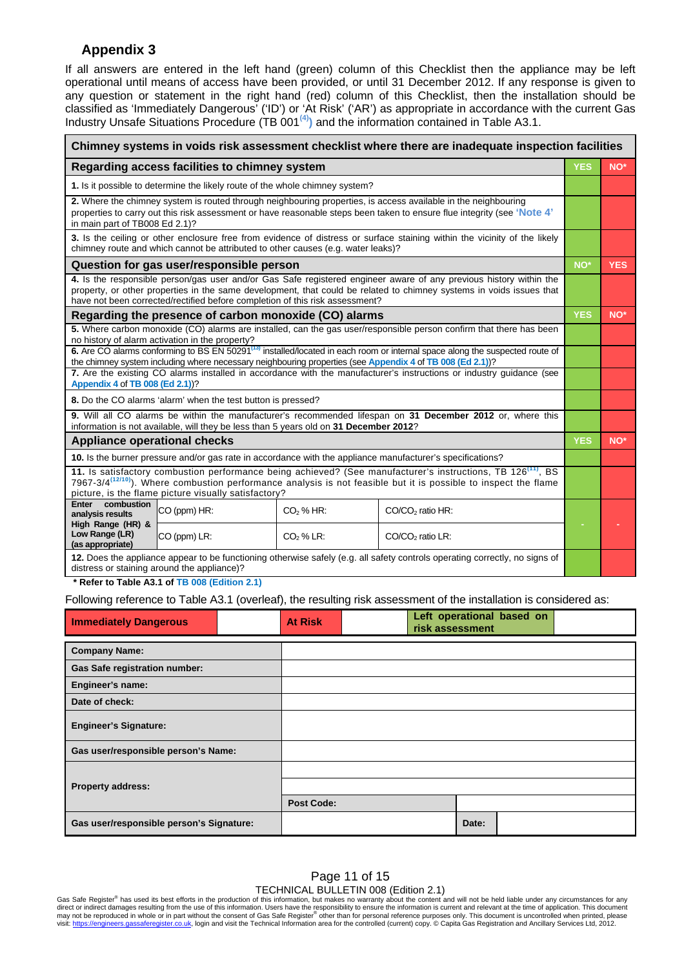If all answers are entered in the left hand (green) column of this Checklist then the appliance may be left operational until means of access have been provided, or until 31 December 2012. If any response is given to any question or statement in the right hand (red) column of this Checklist, then the installation should be classified as 'Immediately Dangerous' ('ID') or 'At Risk' ('AR') as appropriate in accordance with the current Gas Industry Unsafe Situations Procedure (TB 001**(4))** and the information contained in Table A3.1.

| Chimney systems in voids risk assessment checklist where there are inadequate inspection facilities                                                                                                                                                                                                                        |                                          |                                                       |                              |  |                 |                 |
|----------------------------------------------------------------------------------------------------------------------------------------------------------------------------------------------------------------------------------------------------------------------------------------------------------------------------|------------------------------------------|-------------------------------------------------------|------------------------------|--|-----------------|-----------------|
| Regarding access facilities to chimney system                                                                                                                                                                                                                                                                              |                                          |                                                       |                              |  | <b>YES</b>      | NO <sup>*</sup> |
| 1. Is it possible to determine the likely route of the whole chimney system?                                                                                                                                                                                                                                               |                                          |                                                       |                              |  |                 |                 |
| 2. Where the chimney system is routed through neighbouring properties, is access available in the neighbouring<br>properties to carry out this risk assessment or have reasonable steps been taken to ensure flue integrity (see 'Note 4'<br>in main part of TB008 Ed 2.1)?                                                |                                          |                                                       |                              |  |                 |                 |
| 3. Is the ceiling or other enclosure free from evidence of distress or surface staining within the vicinity of the likely<br>chimney route and which cannot be attributed to other causes (e.g. water leaks)?                                                                                                              |                                          |                                                       |                              |  |                 |                 |
|                                                                                                                                                                                                                                                                                                                            | Question for gas user/responsible person |                                                       |                              |  | NO <sup>*</sup> | <b>YES</b>      |
| 4. Is the responsible person/gas user and/or Gas Safe registered engineer aware of any previous history within the<br>property, or other properties in the same development, that could be related to chimney systems in voids issues that<br>have not been corrected/rectified before completion of this risk assessment? |                                          |                                                       |                              |  |                 |                 |
|                                                                                                                                                                                                                                                                                                                            |                                          | Regarding the presence of carbon monoxide (CO) alarms |                              |  | <b>YES</b>      | NO <sup>*</sup> |
| 5. Where carbon monoxide (CO) alarms are installed, can the gas user/responsible person confirm that there has been<br>no history of alarm activation in the property?                                                                                                                                                     |                                          |                                                       |                              |  |                 |                 |
| 6. Are CO alarms conforming to BS EN 50291 <sup>(13)</sup> installed/located in each room or internal space along the suspected route of<br>the chimney system including where necessary neighbouring properties (see Appendix 4 of TB 008 (Ed 2.1))?                                                                      |                                          |                                                       |                              |  |                 |                 |
| 7. Are the existing CO alarms installed in accordance with the manufacturer's instructions or industry quidance (see<br>Appendix 4 of TB 008 (Ed 2.1))?                                                                                                                                                                    |                                          |                                                       |                              |  |                 |                 |
| 8. Do the CO alarms 'alarm' when the test button is pressed?                                                                                                                                                                                                                                                               |                                          |                                                       |                              |  |                 |                 |
| 9. Will all CO alarms be within the manufacturer's recommended lifespan on 31 December 2012 or, where this<br>information is not available, will they be less than 5 years old on 31 December 2012?                                                                                                                        |                                          |                                                       |                              |  |                 |                 |
| <b>Appliance operational checks</b>                                                                                                                                                                                                                                                                                        |                                          |                                                       |                              |  | <b>YES</b>      | NO <sup>*</sup> |
| 10. Is the burner pressure and/or gas rate in accordance with the appliance manufacturer's specifications?                                                                                                                                                                                                                 |                                          |                                                       |                              |  |                 |                 |
| 11. Is satisfactory combustion performance being achieved? (See manufacturer's instructions, TB 126 <sup>(11)</sup> , BS<br>7967-3/4 <sup>(12/10</sup> ). Where combustion performance analysis is not feasible but it is possible to inspect the flame<br>picture, is the flame picture visually satisfactory?            |                                          |                                                       |                              |  |                 |                 |
| Enter combustion<br>analysis results                                                                                                                                                                                                                                                                                       | CO (ppm) HR:                             | $CO2$ % HR:                                           | $CO/CO2$ ratio HR:           |  |                 |                 |
| High Range (HR) &<br>Low Range (LR)<br>(as appropriate)                                                                                                                                                                                                                                                                    | CO (ppm) LR:                             | $CO2$ % LR:                                           | CO/CO <sub>2</sub> ratio LR: |  |                 |                 |
| 12. Does the appliance appear to be functioning otherwise safely (e.g. all safety controls operating correctly, no signs of<br>distress or staining around the appliance)?                                                                                                                                                 |                                          |                                                       |                              |  |                 |                 |

**\* Refer to Table A3.1 of TB 008 (Edition 2.1)**

Following reference to Table A3.1 (overleaf), the resulting risk assessment of the installation is considered as:

| <b>Immediately Dangerous</b>             | <b>At Risk</b>    | risk assessment |       | Left operational based on |  |
|------------------------------------------|-------------------|-----------------|-------|---------------------------|--|
| <b>Company Name:</b>                     |                   |                 |       |                           |  |
| <b>Gas Safe registration number:</b>     |                   |                 |       |                           |  |
| Engineer's name:                         |                   |                 |       |                           |  |
| Date of check:                           |                   |                 |       |                           |  |
| <b>Engineer's Signature:</b>             |                   |                 |       |                           |  |
| Gas user/responsible person's Name:      |                   |                 |       |                           |  |
|                                          |                   |                 |       |                           |  |
| <b>Property address:</b>                 |                   |                 |       |                           |  |
|                                          | <b>Post Code:</b> |                 |       |                           |  |
| Gas user/responsible person's Signature: |                   |                 | Date: |                           |  |

#### Page 11 of 15 TECHNICAL BULLETIN 008 (Edition 2.1)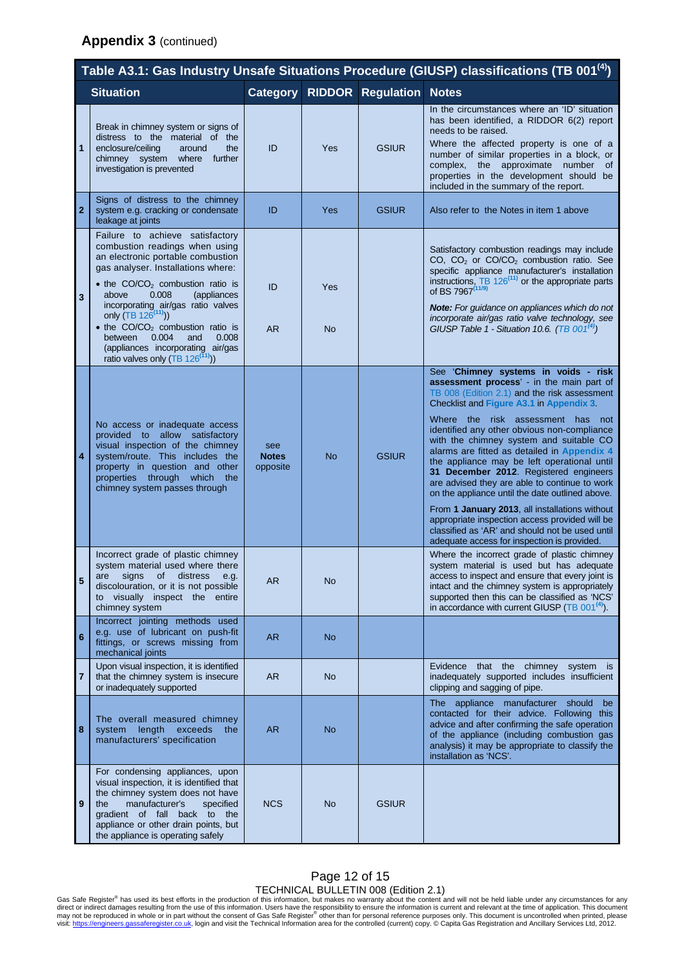## **Appendix 3** (continued)

| Table A3.1: Gas Industry Unsafe Situations Procedure (GIUSP) classifications (TB 001 <sup>(4)</sup> ) |                                                                                                                                                                                                                                                                                                                                                                                                                                                             |                                 |                  |              |                                                                                                                                                                                                                                                                                                                                                                                                                                                                                                                                                                                                                                                                                                                                                                |  |
|-------------------------------------------------------------------------------------------------------|-------------------------------------------------------------------------------------------------------------------------------------------------------------------------------------------------------------------------------------------------------------------------------------------------------------------------------------------------------------------------------------------------------------------------------------------------------------|---------------------------------|------------------|--------------|----------------------------------------------------------------------------------------------------------------------------------------------------------------------------------------------------------------------------------------------------------------------------------------------------------------------------------------------------------------------------------------------------------------------------------------------------------------------------------------------------------------------------------------------------------------------------------------------------------------------------------------------------------------------------------------------------------------------------------------------------------------|--|
|                                                                                                       | <b>Situation</b>                                                                                                                                                                                                                                                                                                                                                                                                                                            | <b>Category</b>                 | <b>RIDDOR</b>    | Regulation   | <b>Notes</b>                                                                                                                                                                                                                                                                                                                                                                                                                                                                                                                                                                                                                                                                                                                                                   |  |
| $\mathbf{1}$                                                                                          | Break in chimney system or signs of<br>distress to the material of the<br>enclosure/ceiling<br>around<br>the<br>chimney system where<br>further<br>investigation is prevented                                                                                                                                                                                                                                                                               | ID                              | Yes              | <b>GSIUR</b> | In the circumstances where an 'ID' situation<br>has been identified, a RIDDOR 6(2) report<br>needs to be raised.<br>Where the affected property is one of a<br>number of similar properties in a block, or<br>complex, the approximate number of<br>properties in the development should be<br>included in the summary of the report.                                                                                                                                                                                                                                                                                                                                                                                                                          |  |
| $\overline{\mathbf{2}}$                                                                               | Signs of distress to the chimney<br>system e.g. cracking or condensate<br>leakage at joints                                                                                                                                                                                                                                                                                                                                                                 | ID                              | Yes              | <b>GSIUR</b> | Also refer to the Notes in item 1 above                                                                                                                                                                                                                                                                                                                                                                                                                                                                                                                                                                                                                                                                                                                        |  |
| $\overline{\mathbf{3}}$                                                                               | Failure to achieve satisfactory<br>combustion readings when using<br>an electronic portable combustion<br>gas analyser. Installations where:<br>• the $CO/CO2$ combustion ratio is<br>above<br>0.008<br>(appliances<br>incorporating air/gas ratio valves<br>only (TB 126 <sup>(11)</sup> ))<br>• the CO/CO <sub>2</sub> combustion ratio is<br>and<br>between<br>0.004<br>0.008<br>(appliances incorporating air/gas<br>ratio valves only (TB $126(11)$ )) | ID<br><b>AR</b>                 | Yes<br><b>No</b> |              | Satisfactory combustion readings may include<br>CO, CO <sub>2</sub> or CO/CO <sub>2</sub> combustion ratio. See<br>specific appliance manufacturer's installation<br>instructions, TB $126^{(11)}$ or the appropriate parts<br>of BS 7967 <sup><math>(11/9)</math></sup><br><b>Note:</b> For guidance on appliances which do not<br>incorporate air/gas ratio valve technology, see<br>GIUSP Table 1 - Situation 10.6. (TB $001^{(4)}$ )                                                                                                                                                                                                                                                                                                                       |  |
| 4                                                                                                     | No access or inadequate access<br>provided to allow satisfactory<br>visual inspection of the chimney<br>system/route. This includes the<br>property in question and other<br>properties through which<br>the<br>chimney system passes through                                                                                                                                                                                                               | see<br><b>Notes</b><br>opposite | <b>No</b>        | <b>GSIUR</b> | See 'Chimney systems in voids - risk<br>assessment process' - in the main part of<br>TB 008 (Edition 2.1) and the risk assessment<br>Checklist and Figure A3.1 in Appendix 3.<br>Where the risk assessment has not<br>identified any other obvious non-compliance<br>with the chimney system and suitable CO<br>alarms are fitted as detailed in Appendix 4<br>the appliance may be left operational until<br>31 December 2012. Registered engineers<br>are advised they are able to continue to work<br>on the appliance until the date outlined above.<br>From 1 January 2013, all installations without<br>appropriate inspection access provided will be<br>classified as 'AR' and should not be used until<br>adequate access for inspection is provided. |  |
| 5                                                                                                     | Incorrect grade of plastic chimney<br>system material used where there<br>are signs of distress e.g.<br>discolouration, or it is not possible<br>to visually inspect the entire<br>chimney system                                                                                                                                                                                                                                                           | AR                              | No.              |              | Where the incorrect grade of plastic chimney<br>system material is used but has adequate<br>access to inspect and ensure that every joint is<br>intact and the chimney system is appropriately<br>supported then this can be classified as 'NCS'<br>in accordance with current GIUSP (TB $001(4)$ ).                                                                                                                                                                                                                                                                                                                                                                                                                                                           |  |
| $6\phantom{1}$                                                                                        | Incorrect jointing methods used<br>e.g. use of lubricant on push-fit<br>fittings, or screws missing from<br>mechanical joints                                                                                                                                                                                                                                                                                                                               | AR.                             | <b>No</b>        |              |                                                                                                                                                                                                                                                                                                                                                                                                                                                                                                                                                                                                                                                                                                                                                                |  |
| $\overline{\mathbf{r}}$                                                                               | Upon visual inspection, it is identified<br>that the chimney system is insecure<br>or inadequately supported                                                                                                                                                                                                                                                                                                                                                | AR                              | <b>No</b>        |              | Evidence that the chimney system is<br>inadequately supported includes insufficient<br>clipping and sagging of pipe.                                                                                                                                                                                                                                                                                                                                                                                                                                                                                                                                                                                                                                           |  |
| 8                                                                                                     | The overall measured chimney<br>length<br>system<br>exceeds<br>the<br>manufacturers' specification                                                                                                                                                                                                                                                                                                                                                          | AR.                             | No               |              | The appliance manufacturer should<br>be<br>contacted for their advice. Following this<br>advice and after confirming the safe operation<br>of the appliance (including combustion gas<br>analysis) it may be appropriate to classify the<br>installation as 'NCS'.                                                                                                                                                                                                                                                                                                                                                                                                                                                                                             |  |
| 9                                                                                                     | For condensing appliances, upon<br>visual inspection, it is identified that<br>the chimney system does not have<br>the<br>manufacturer's<br>specified<br>gradient of fall back to<br>the<br>appliance or other drain points, but<br>the appliance is operating safely                                                                                                                                                                                       | <b>NCS</b>                      | No               | <b>GSIUR</b> |                                                                                                                                                                                                                                                                                                                                                                                                                                                                                                                                                                                                                                                                                                                                                                |  |

# Page 12 of 15

**FECHNICAL BULLETIN 008 (Edition 2.1)**<br>Gias Safe Register® has used its best efforts in the production of this information, but makes no warranty about the content and will not be held liable under any circumstances for an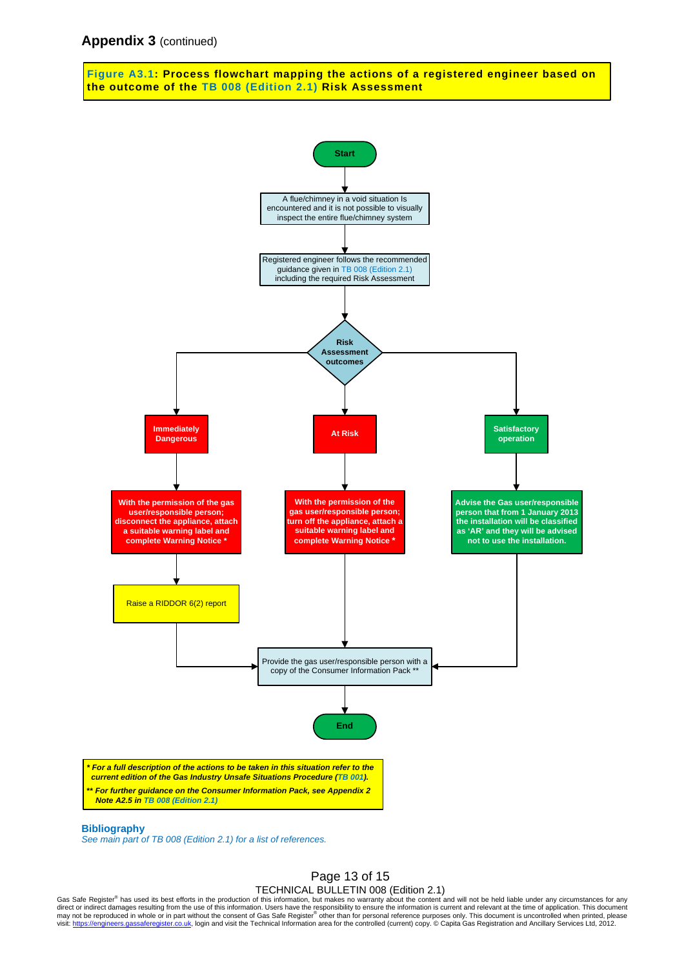**Figure A3.1: Process flowchart mapping the actions of a registered engineer based on the outcome of the TB 008 (Edition 2.1) Risk Assessment**



#### **Bibliography**

*See main part of TB 008 (Edition 2.1) for a list of references.* 

# Page 13 of 15

TECHNICAL BULLETIN 008 (Edition 2.1)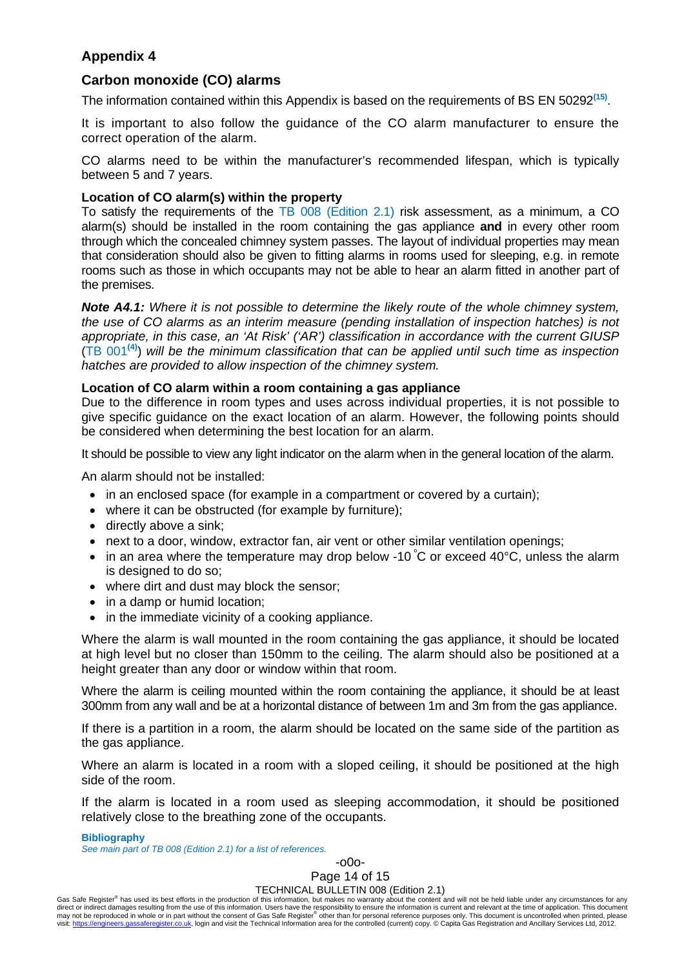## **Carbon monoxide (CO) alarms**

The information contained within this Appendix is based on the requirements of BS EN 50292**(15)**.

It is important to also follow the guidance of the CO alarm manufacturer to ensure the correct operation of the alarm.

CO alarms need to be within the manufacturer's recommended lifespan, which is typically between 5 and 7 years.

## **Location of CO alarm(s) within the property**

To satisfy the requirements of the TB 008 (Edition 2.1) risk assessment, as a minimum, a CO alarm(s) should be installed in the room containing the gas appliance **and** in every other room through which the concealed chimney system passes. The layout of individual properties may mean that consideration should also be given to fitting alarms in rooms used for sleeping, e.g. in remote rooms such as those in which occupants may not be able to hear an alarm fitted in another part of the premises.

*Note A4.1: Where it is not possible to determine the likely route of the whole chimney system, the use of CO alarms as an interim measure (pending installation of inspection hatches) is not appropriate, in this case, an 'At Risk' ('AR') classification in accordance with the current GIUSP*  (TB 001**(4)**) *will be the minimum classification that can be applied until such time as inspection hatches are provided to allow inspection of the chimney system.* 

### **Location of CO alarm within a room containing a gas appliance**

Due to the difference in room types and uses across individual properties, it is not possible to give specific guidance on the exact location of an alarm. However, the following points should be considered when determining the best location for an alarm.

It should be possible to view any light indicator on the alarm when in the general location of the alarm.

An alarm should not be installed:

- in an enclosed space (for example in a compartment or covered by a curtain);
- where it can be obstructed (for example by furniture);
- directly above a sink;
- next to a door, window, extractor fan, air vent or other similar ventilation openings;
- in an area where the temperature may drop below -10  $\degree$ C or exceed 40 $\degree$ C, unless the alarm is designed to do so;
- where dirt and dust may block the sensor;
- in a damp or humid location;
- in the immediate vicinity of a cooking appliance.

Where the alarm is wall mounted in the room containing the gas appliance, it should be located at high level but no closer than 150mm to the ceiling. The alarm should also be positioned at a height greater than any door or window within that room.

Where the alarm is ceiling mounted within the room containing the appliance, it should be at least 300mm from any wall and be at a horizontal distance of between 1m and 3m from the gas appliance.

If there is a partition in a room, the alarm should be located on the same side of the partition as the gas appliance.

Where an alarm is located in a room with a sloped ceiling, it should be positioned at the high side of the room.

If the alarm is located in a room used as sleeping accommodation, it should be positioned relatively close to the breathing zone of the occupants.

#### **Bibliography**

*See main part of TB 008 (Edition 2.1) for a list of references.* 

Page 14 of 15